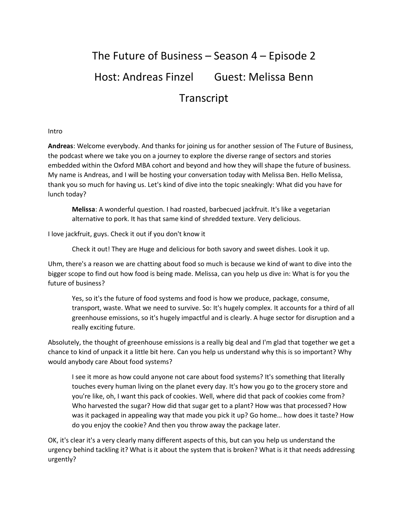# The Future of Business – Season 4 – Episode 2 Host: Andreas Finzel Guest: Melissa Benn Transcript

### Intro

**Andreas**: Welcome everybody. And thanks for joining us for another session of The Future of Business, the podcast where we take you on a journey to explore the diverse range of sectors and stories embedded within the Oxford MBA cohort and beyond and how they will shape the future of business. My name is Andreas, and I will be hosting your conversation today with Melissa Ben. Hello Melissa, thank you so much for having us. Let's kind of dive into the topic sneakingly: What did you have for lunch today?

**Melissa**: A wonderful question. I had roasted, barbecued jackfruit. It's like a vegetarian alternative to pork. It has that same kind of shredded texture. Very delicious.

I love jackfruit, guys. Check it out if you don't know it

Check it out! They are Huge and delicious for both savory and sweet dishes. Look it up.

Uhm, there's a reason we are chatting about food so much is because we kind of want to dive into the bigger scope to find out how food is being made. Melissa, can you help us dive in: What is for you the future of business?

Yes, so it's the future of food systems and food is how we produce, package, consume, transport, waste. What we need to survive. So: It's hugely complex. It accounts for a third of all greenhouse emissions, so it's hugely impactful and is clearly. A huge sector for disruption and a really exciting future.

Absolutely, the thought of greenhouse emissions is a really big deal and I'm glad that together we get a chance to kind of unpack it a little bit here. Can you help us understand why this is so important? Why would anybody care About food systems?

I see it more as how could anyone not care about food systems? It's something that literally touches every human living on the planet every day. It's how you go to the grocery store and you're like, oh, I want this pack of cookies. Well, where did that pack of cookies come from? Who harvested the sugar? How did that sugar get to a plant? How was that processed? How was it packaged in appealing way that made you pick it up? Go home… how does it taste? How do you enjoy the cookie? And then you throw away the package later.

OK, it's clear it's a very clearly many different aspects of this, but can you help us understand the urgency behind tackling it? What is it about the system that is broken? What is it that needs addressing urgently?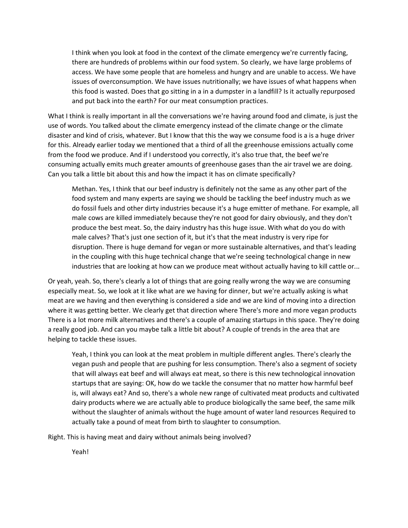I think when you look at food in the context of the climate emergency we're currently facing, there are hundreds of problems within our food system. So clearly, we have large problems of access. We have some people that are homeless and hungry and are unable to access. We have issues of overconsumption. We have issues nutritionally; we have issues of what happens when this food is wasted. Does that go sitting in a in a dumpster in a landfill? Is it actually repurposed and put back into the earth? For our meat consumption practices.

What I think is really important in all the conversations we're having around food and climate, is just the use of words. You talked about the climate emergency instead of the climate change or the climate disaster and kind of crisis, whatever. But I know that this the way we consume food is a is a huge driver for this. Already earlier today we mentioned that a third of all the greenhouse emissions actually come from the food we produce. And if I understood you correctly, it's also true that, the beef we're consuming actually emits much greater amounts of greenhouse gases than the air travel we are doing. Can you talk a little bit about this and how the impact it has on climate specifically?

Methan. Yes, I think that our beef industry is definitely not the same as any other part of the food system and many experts are saying we should be tackling the beef industry much as we do fossil fuels and other dirty industries because it's a huge emitter of methane. For example, all male cows are killed immediately because they're not good for dairy obviously, and they don't produce the best meat. So, the dairy industry has this huge issue. With what do you do with male calves? That's just one section of it, but it's that the meat industry is very ripe for disruption. There is huge demand for vegan or more sustainable alternatives, and that's leading in the coupling with this huge technical change that we're seeing technological change in new industries that are looking at how can we produce meat without actually having to kill cattle or...

Or yeah, yeah. So, there's clearly a lot of things that are going really wrong the way we are consuming especially meat. So, we look at it like what are we having for dinner, but we're actually asking is what meat are we having and then everything is considered a side and we are kind of moving into a direction where it was getting better. We clearly get that direction where There's more and more vegan products There is a lot more milk alternatives and there's a couple of amazing startups in this space. They're doing a really good job. And can you maybe talk a little bit about? A couple of trends in the area that are helping to tackle these issues.

Yeah, I think you can look at the meat problem in multiple different angles. There's clearly the vegan push and people that are pushing for less consumption. There's also a segment of society that will always eat beef and will always eat meat, so there is this new technological innovation startups that are saying: OK, how do we tackle the consumer that no matter how harmful beef is, will always eat? And so, there's a whole new range of cultivated meat products and cultivated dairy products where we are actually able to produce biologically the same beef, the same milk without the slaughter of animals without the huge amount of water land resources Required to actually take a pound of meat from birth to slaughter to consumption.

Right. This is having meat and dairy without animals being involved?

Yeah!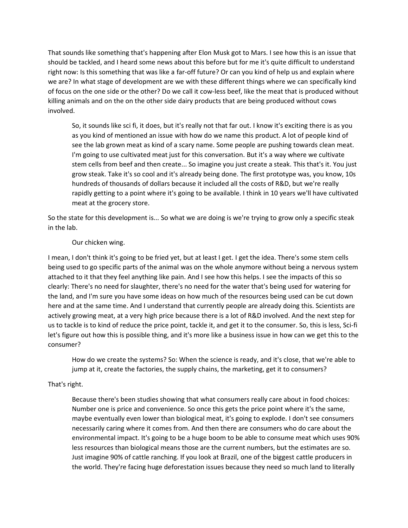That sounds like something that's happening after Elon Musk got to Mars. I see how this is an issue that should be tackled, and I heard some news about this before but for me it's quite difficult to understand right now: Is this something that was like a far-off future? Or can you kind of help us and explain where we are? In what stage of development are we with these different things where we can specifically kind of focus on the one side or the other? Do we call it cow-less beef, like the meat that is produced without killing animals and on the on the other side dairy products that are being produced without cows involved.

So, it sounds like sci fi, it does, but it's really not that far out. I know it's exciting there is as you as you kind of mentioned an issue with how do we name this product. A lot of people kind of see the lab grown meat as kind of a scary name. Some people are pushing towards clean meat. I'm going to use cultivated meat just for this conversation. But it's a way where we cultivate stem cells from beef and then create... So imagine you just create a steak. This that's it. You just grow steak. Take it's so cool and it's already being done. The first prototype was, you know, 10s hundreds of thousands of dollars because it included all the costs of R&D, but we're really rapidly getting to a point where it's going to be available. I think in 10 years we'll have cultivated meat at the grocery store.

So the state for this development is... So what we are doing is we're trying to grow only a specific steak in the lab.

## Our chicken wing.

I mean, I don't think it's going to be fried yet, but at least I get. I get the idea. There's some stem cells being used to go specific parts of the animal was on the whole anymore without being a nervous system attached to it that they feel anything like pain. And I see how this helps. I see the impacts of this so clearly: There's no need for slaughter, there's no need for the water that's being used for watering for the land, and I'm sure you have some ideas on how much of the resources being used can be cut down here and at the same time. And I understand that currently people are already doing this. Scientists are actively growing meat, at a very high price because there is a lot of R&D involved. And the next step for us to tackle is to kind of reduce the price point, tackle it, and get it to the consumer. So, this is less, Sci-fi let's figure out how this is possible thing, and it's more like a business issue in how can we get this to the consumer?

How do we create the systems? So: When the science is ready, and it's close, that we're able to jump at it, create the factories, the supply chains, the marketing, get it to consumers?

## That's right.

Because there's been studies showing that what consumers really care about in food choices: Number one is price and convenience. So once this gets the price point where it's the same, maybe eventually even lower than biological meat, it's going to explode. I don't see consumers necessarily caring where it comes from. And then there are consumers who do care about the environmental impact. It's going to be a huge boom to be able to consume meat which uses 90% less resources than biological means those are the current numbers, but the estimates are so. Just imagine 90% of cattle ranching. If you look at Brazil, one of the biggest cattle producers in the world. They're facing huge deforestation issues because they need so much land to literally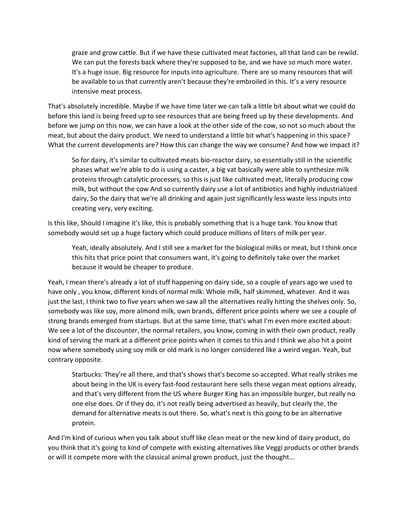graze and grow cattle. But if we have these cultivated meat factories, all that land can be rewild. We can put the forests back where they're supposed to be, and we have so much more water. It's a huge issue. Big resource for inputs into agriculture. There are so many resources that will be available to us that currently aren't because they're embroiled in this. It's a very resource intensive meat process.

That's absolutely incredible. Maybe if we have time later we can talk a little bit about what we could do before this land is being freed up to see resources that are being freed up by these developments. And before we jump on this now, we can have a look at the other side of the cow, so not so much about the meat, but about the dairy product. We need to understand a little bit what's happening in this space? What the current developments are? How this can change the way we consume? And how we impact it?

So for dairy, it's similar to cultivated meats bio-reactor dairy, so essentially still in the scientific phases what we're able to do is using a caster, a big vat basically were able to synthesize milk proteins through catalytic processes, so this is just like cultivated meat, literally producing cow milk, but without the cow And so currently dairy use a lot of antibiotics and highly industrialized dairy, So the dairy that we're all drinking and again just significantly less waste less inputs into creating very, very exciting.

Is this like, Should I imagine it's like, this is probably something that is a huge tank. You know that somebody would set up a huge factory which could produce millions of liters of milk per year.

Yeah, ideally absolutely. And I still see a market for the biological milks or meat, but I think once this hits that price point that consumers want, it's going to definitely take over the market because it would be cheaper to produce.

Yeah, I mean there's already a lot of stuff happening on dairy side, so a couple of years ago we used to have only , you know, different kinds of normal milk: Whole milk, half skimmed, whatever. And it was just the last, I think two to five years when we saw all the alternatives really hitting the shelves only. So, somebody was like soy, more almond milk, own brands, different price points where we see a couple of strong brands emerged from startups. But at the same time, that's what I'm even more excited about: We see a lot of the discounter, the normal retailers, you know, coming in with their own product, really kind of serving the mark at a different price points when it comes to this and I think we also hit a point now where somebody using soy milk or old mark is no longer considered like a weird vegan. Yeah, but contrary opposite.

Starbucks: They're all there, and that's shows that's become so accepted. What really strikes me about being in the UK is every fast-food restaurant here sells these vegan meat options already, and that's very different from the US where Burger King has an impossible burger, but really no one else does. Or if they do, it's not really being advertised as heavily, but clearly the, the demand for alternative meats is out there. So, what's next is this going to be an alternative protein.

And I'm kind of curious when you talk about stuff like clean meat or the new kind of dairy product, do you think that it's going to kind of compete with existing alternatives like Veggi products or other brands or will it compete more with the classical animal grown product, just the thought...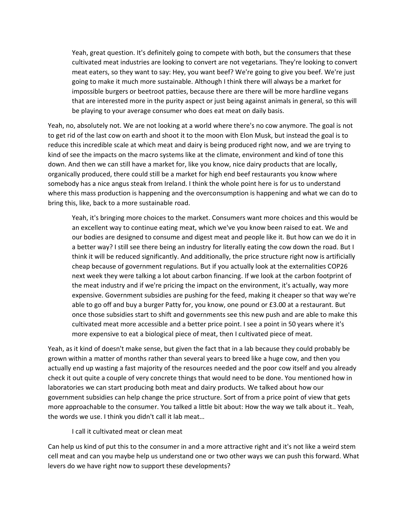Yeah, great question. It's definitely going to compete with both, but the consumers that these cultivated meat industries are looking to convert are not vegetarians. They're looking to convert meat eaters, so they want to say: Hey, you want beef? We're going to give you beef. We're just going to make it much more sustainable. Although I think there will always be a market for impossible burgers or beetroot patties, because there are there will be more hardline vegans that are interested more in the purity aspect or just being against animals in general, so this will be playing to your average consumer who does eat meat on daily basis.

Yeah, no, absolutely not. We are not looking at a world where there's no cow anymore. The goal is not to get rid of the last cow on earth and shoot it to the moon with Elon Musk, but instead the goal is to reduce this incredible scale at which meat and dairy is being produced right now, and we are trying to kind of see the impacts on the macro systems like at the climate, environment and kind of tone this down. And then we can still have a market for, like you know, nice dairy products that are locally, organically produced, there could still be a market for high end beef restaurants you know where somebody has a nice angus steak from Ireland. I think the whole point here is for us to understand where this mass production is happening and the overconsumption is happening and what we can do to bring this, like, back to a more sustainable road.

Yeah, it's bringing more choices to the market. Consumers want more choices and this would be an excellent way to continue eating meat, which we've you know been raised to eat. We and our bodies are designed to consume and digest meat and people like it. But how can we do it in a better way? I still see there being an industry for literally eating the cow down the road. But I think it will be reduced significantly. And additionally, the price structure right now is artificially cheap because of government regulations. But if you actually look at the externalities COP26 next week they were talking a lot about carbon financing. If we look at the carbon footprint of the meat industry and if we're pricing the impact on the environment, it's actually, way more expensive. Government subsidies are pushing for the feed, making it cheaper so that way we're able to go off and buy a burger Patty for, you know, one pound or £3.00 at a restaurant. But once those subsidies start to shift and governments see this new push and are able to make this cultivated meat more accessible and a better price point. I see a point in 50 years where it's more expensive to eat a biological piece of meat, then I cultivated piece of meat.

Yeah, as it kind of doesn't make sense, but given the fact that in a lab because they could probably be grown within a matter of months rather than several years to breed like a huge cow, and then you actually end up wasting a fast majority of the resources needed and the poor cow itself and you already check it out quite a couple of very concrete things that would need to be done. You mentioned how in laboratories we can start producing both meat and dairy products. We talked about how our government subsidies can help change the price structure. Sort of from a price point of view that gets more approachable to the consumer. You talked a little bit about: How the way we talk about it.. Yeah, the words we use. I think you didn't call it lab meat…

#### I call it cultivated meat or clean meat

Can help us kind of put this to the consumer in and a more attractive right and it's not like a weird stem cell meat and can you maybe help us understand one or two other ways we can push this forward. What levers do we have right now to support these developments?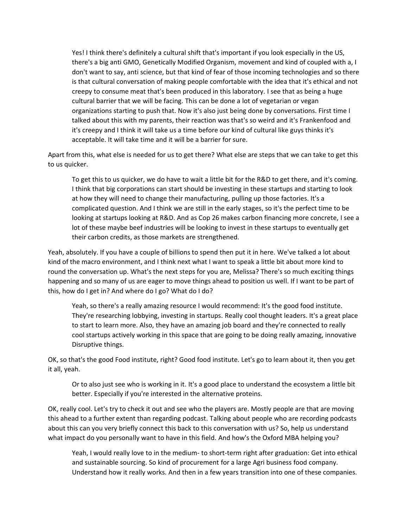Yes! I think there's definitely a cultural shift that's important if you look especially in the US, there's a big anti GMO, Genetically Modified Organism, movement and kind of coupled with a, I don't want to say, anti science, but that kind of fear of those incoming technologies and so there is that cultural conversation of making people comfortable with the idea that it's ethical and not creepy to consume meat that's been produced in this laboratory. I see that as being a huge cultural barrier that we will be facing. This can be done a lot of vegetarian or vegan organizations starting to push that. Now it's also just being done by conversations. First time I talked about this with my parents, their reaction was that's so weird and it's Frankenfood and it's creepy and I think it will take us a time before our kind of cultural like guys thinks it's acceptable. It will take time and it will be a barrier for sure.

Apart from this, what else is needed for us to get there? What else are steps that we can take to get this to us quicker.

To get this to us quicker, we do have to wait a little bit for the R&D to get there, and it's coming. I think that big corporations can start should be investing in these startups and starting to look at how they will need to change their manufacturing, pulling up those factories. It's a complicated question. And I think we are still in the early stages, so it's the perfect time to be looking at startups looking at R&D. And as Cop 26 makes carbon financing more concrete, I see a lot of these maybe beef industries will be looking to invest in these startups to eventually get their carbon credits, as those markets are strengthened.

Yeah, absolutely. If you have a couple of billions to spend then put it in here. We've talked a lot about kind of the macro environment, and I think next what I want to speak a little bit about more kind to round the conversation up. What's the next steps for you are, Melissa? There's so much exciting things happening and so many of us are eager to move things ahead to position us well. If I want to be part of this, how do I get in? And where do I go? What do I do?

Yeah, so there's a really amazing resource I would recommend: It's the good food institute. They're researching lobbying, investing in startups. Really cool thought leaders. It's a great place to start to learn more. Also, they have an amazing job board and they're connected to really cool startups actively working in this space that are going to be doing really amazing, innovative Disruptive things.

OK, so that's the good Food institute, right? Good food institute. Let's go to learn about it, then you get it all, yeah.

Or to also just see who is working in it. It's a good place to understand the ecosystem a little bit better. Especially if you're interested in the alternative proteins.

OK, really cool. Let's try to check it out and see who the players are. Mostly people are that are moving this ahead to a further extent than regarding podcast. Talking about people who are recording podcasts about this can you very briefly connect this back to this conversation with us? So, help us understand what impact do you personally want to have in this field. And how's the Oxford MBA helping you?

Yeah, I would really love to in the medium- to short-term right after graduation: Get into ethical and sustainable sourcing. So kind of procurement for a large Agri business food company. Understand how it really works. And then in a few years transition into one of these companies.